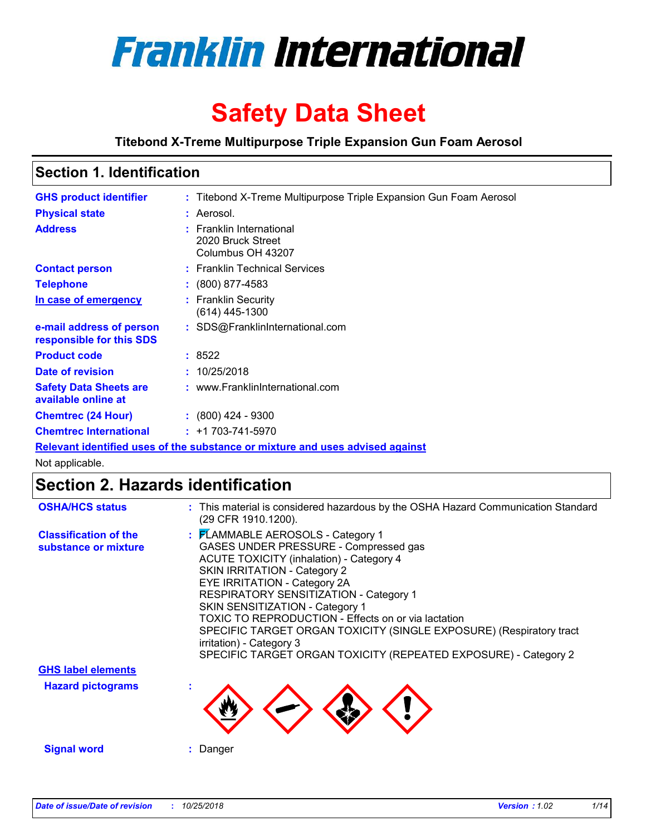

# **Safety Data Sheet**

**Titebond X-Treme Multipurpose Triple Expansion Gun Foam Aerosol**

## **Section 1. Identification**

| <b>GHS product identifier</b>                        | : Titebond X-Treme Multipurpose Triple Expansion Gun Foam Aerosol             |
|------------------------------------------------------|-------------------------------------------------------------------------------|
| <b>Physical state</b>                                | : Aerosol.                                                                    |
| <b>Address</b>                                       | : Franklin International<br>2020 Bruck Street<br>Columbus OH 43207            |
| <b>Contact person</b>                                | : Franklin Technical Services                                                 |
| <b>Telephone</b>                                     | $: (800) 877 - 4583$                                                          |
| In case of emergency                                 | : Franklin Security<br>(614) 445-1300                                         |
| e-mail address of person<br>responsible for this SDS | : SDS@FranklinInternational.com                                               |
| <b>Product code</b>                                  | :8522                                                                         |
| Date of revision                                     | : 10/25/2018                                                                  |
| <b>Safety Data Sheets are</b><br>available online at | : www.FranklinInternational.com                                               |
| <b>Chemtrec (24 Hour)</b>                            | $\div$ (800) 424 - 9300                                                       |
| <b>Chemtrec International</b>                        | $: +1703 - 741 - 5970$                                                        |
|                                                      | Relevant identified uses of the substance or mixture and uses advised against |

Not applicable.

## **Section 2. Hazards identification**

| <b>OSHA/HCS status</b>                               | : This material is considered hazardous by the OSHA Hazard Communication Standard<br>(29 CFR 1910.1200).                                                                                                                                                                                                                                                                                                                                                                                                       |
|------------------------------------------------------|----------------------------------------------------------------------------------------------------------------------------------------------------------------------------------------------------------------------------------------------------------------------------------------------------------------------------------------------------------------------------------------------------------------------------------------------------------------------------------------------------------------|
| <b>Classification of the</b><br>substance or mixture | : FLAMMABLE AEROSOLS - Category 1<br>GASES UNDER PRESSURE - Compressed gas<br><b>ACUTE TOXICITY (inhalation) - Category 4</b><br><b>SKIN IRRITATION - Category 2</b><br>EYE IRRITATION - Category 2A<br>RESPIRATORY SENSITIZATION - Category 1<br>SKIN SENSITIZATION - Category 1<br>TOXIC TO REPRODUCTION - Effects on or via lactation<br>SPECIFIC TARGET ORGAN TOXICITY (SINGLE EXPOSURE) (Respiratory tract<br>irritation) - Category 3<br>SPECIFIC TARGET ORGAN TOXICITY (REPEATED EXPOSURE) - Category 2 |
| <b>GHS label elements</b>                            |                                                                                                                                                                                                                                                                                                                                                                                                                                                                                                                |
| <b>Hazard pictograms</b>                             |                                                                                                                                                                                                                                                                                                                                                                                                                                                                                                                |
| <b>Signal word</b>                                   | : Danger                                                                                                                                                                                                                                                                                                                                                                                                                                                                                                       |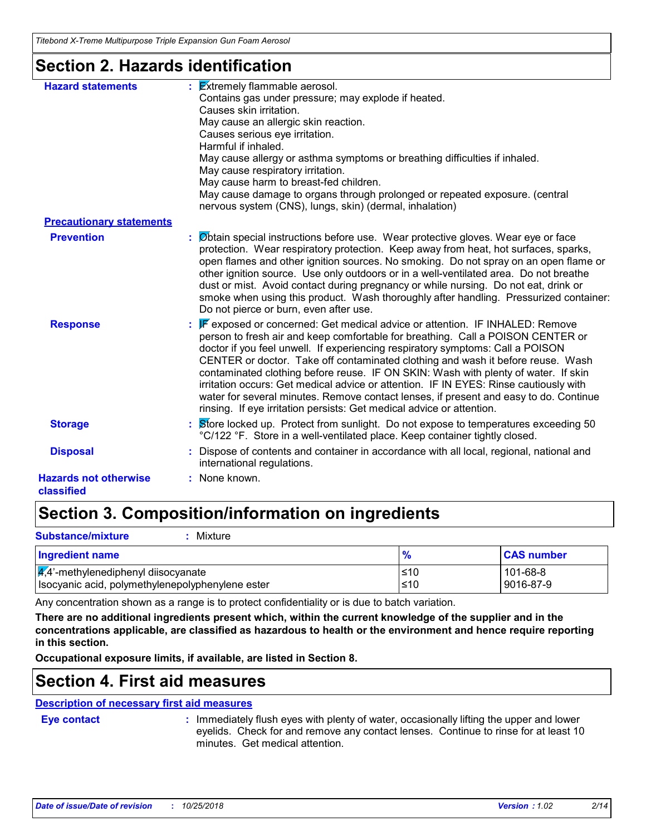## **Section 2. Hazards identification**

| <b>Hazard statements</b>                   | $\frac{1}{2}$ <b>Extremely flammable aerosol.</b><br>Contains gas under pressure; may explode if heated.<br>Causes skin irritation.<br>May cause an allergic skin reaction.<br>Causes serious eye irritation.<br>Harmful if inhaled.<br>May cause allergy or asthma symptoms or breathing difficulties if inhaled.<br>May cause respiratory irritation.<br>May cause harm to breast-fed children.<br>May cause damage to organs through prolonged or repeated exposure. (central<br>nervous system (CNS), lungs, skin) (dermal, inhalation)                                                                                                                                                 |
|--------------------------------------------|---------------------------------------------------------------------------------------------------------------------------------------------------------------------------------------------------------------------------------------------------------------------------------------------------------------------------------------------------------------------------------------------------------------------------------------------------------------------------------------------------------------------------------------------------------------------------------------------------------------------------------------------------------------------------------------------|
| <b>Precautionary statements</b>            |                                                                                                                                                                                                                                                                                                                                                                                                                                                                                                                                                                                                                                                                                             |
| <b>Prevention</b>                          | : Øbtain special instructions before use. Wear protective gloves. Wear eye or face<br>protection. Wear respiratory protection. Keep away from heat, hot surfaces, sparks,<br>open flames and other ignition sources. No smoking. Do not spray on an open flame or<br>other ignition source. Use only outdoors or in a well-ventilated area. Do not breathe<br>dust or mist. Avoid contact during pregnancy or while nursing. Do not eat, drink or<br>smoke when using this product. Wash thoroughly after handling. Pressurized container:<br>Do not pierce or burn, even after use.                                                                                                        |
| <b>Response</b>                            | <b>F</b> exposed or concerned: Get medical advice or attention. IF INHALED: Remove<br>person to fresh air and keep comfortable for breathing. Call a POISON CENTER or<br>doctor if you feel unwell. If experiencing respiratory symptoms: Call a POISON<br>CENTER or doctor. Take off contaminated clothing and wash it before reuse. Wash<br>contaminated clothing before reuse. IF ON SKIN: Wash with plenty of water. If skin<br>irritation occurs: Get medical advice or attention. IF IN EYES: Rinse cautiously with<br>water for several minutes. Remove contact lenses, if present and easy to do. Continue<br>rinsing. If eye irritation persists: Get medical advice or attention. |
| <b>Storage</b>                             | Store locked up. Protect from sunlight. Do not expose to temperatures exceeding 50<br>°C/122 °F. Store in a well-ventilated place. Keep container tightly closed.                                                                                                                                                                                                                                                                                                                                                                                                                                                                                                                           |
| <b>Disposal</b>                            | Dispose of contents and container in accordance with all local, regional, national and<br>international regulations.                                                                                                                                                                                                                                                                                                                                                                                                                                                                                                                                                                        |
| <b>Hazards not otherwise</b><br>classified | : None known.                                                                                                                                                                                                                                                                                                                                                                                                                                                                                                                                                                                                                                                                               |

## **Section 3. Composition/information on ingredients**

| <b>Substance/mixture</b><br>Mixture                                                                  |               |                       |
|------------------------------------------------------------------------------------------------------|---------------|-----------------------|
| Ingredient name                                                                                      | $\frac{9}{6}$ | <b>CAS number</b>     |
| $\frac{1}{4}$ ,4'-methylenediphenyl diisocyanate<br>Isocyanic acid, polymethylenepolyphenylene ester | l≤10<br>≤10   | 101-68-8<br>9016-87-9 |

Any concentration shown as a range is to protect confidentiality or is due to batch variation.

**There are no additional ingredients present which, within the current knowledge of the supplier and in the concentrations applicable, are classified as hazardous to health or the environment and hence require reporting in this section.**

**Occupational exposure limits, if available, are listed in Section 8.**

### **Section 4. First aid measures**

### **Description of necessary first aid measures**

**Eye contact :**

: Immediately flush eyes with plenty of water, occasionally lifting the upper and lower eyelids. Check for and remove any contact lenses. Continue to rinse for at least 10 minutes. Get medical attention.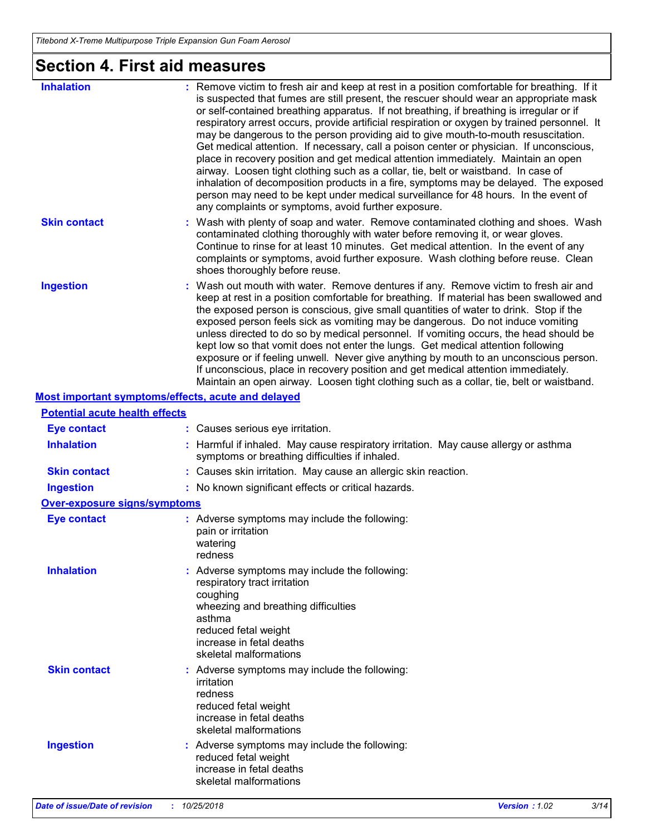# **Section 4. First aid measures**

| <b>Inhalation</b>                     | : Remove victim to fresh air and keep at rest in a position comfortable for breathing. If it<br>is suspected that fumes are still present, the rescuer should wear an appropriate mask<br>or self-contained breathing apparatus. If not breathing, if breathing is irregular or if<br>respiratory arrest occurs, provide artificial respiration or oxygen by trained personnel. It<br>may be dangerous to the person providing aid to give mouth-to-mouth resuscitation.<br>Get medical attention. If necessary, call a poison center or physician. If unconscious,<br>place in recovery position and get medical attention immediately. Maintain an open<br>airway. Loosen tight clothing such as a collar, tie, belt or waistband. In case of<br>inhalation of decomposition products in a fire, symptoms may be delayed. The exposed<br>person may need to be kept under medical surveillance for 48 hours. In the event of<br>any complaints or symptoms, avoid further exposure. |
|---------------------------------------|---------------------------------------------------------------------------------------------------------------------------------------------------------------------------------------------------------------------------------------------------------------------------------------------------------------------------------------------------------------------------------------------------------------------------------------------------------------------------------------------------------------------------------------------------------------------------------------------------------------------------------------------------------------------------------------------------------------------------------------------------------------------------------------------------------------------------------------------------------------------------------------------------------------------------------------------------------------------------------------|
| <b>Skin contact</b>                   | : Wash with plenty of soap and water. Remove contaminated clothing and shoes. Wash<br>contaminated clothing thoroughly with water before removing it, or wear gloves.<br>Continue to rinse for at least 10 minutes. Get medical attention. In the event of any<br>complaints or symptoms, avoid further exposure. Wash clothing before reuse. Clean<br>shoes thoroughly before reuse.                                                                                                                                                                                                                                                                                                                                                                                                                                                                                                                                                                                                 |
| <b>Ingestion</b>                      | : Wash out mouth with water. Remove dentures if any. Remove victim to fresh air and<br>keep at rest in a position comfortable for breathing. If material has been swallowed and<br>the exposed person is conscious, give small quantities of water to drink. Stop if the<br>exposed person feels sick as vomiting may be dangerous. Do not induce vomiting<br>unless directed to do so by medical personnel. If vomiting occurs, the head should be<br>kept low so that vomit does not enter the lungs. Get medical attention following<br>exposure or if feeling unwell. Never give anything by mouth to an unconscious person.<br>If unconscious, place in recovery position and get medical attention immediately.<br>Maintain an open airway. Loosen tight clothing such as a collar, tie, belt or waistband.                                                                                                                                                                     |
|                                       | Most important symptoms/effects, acute and delayed                                                                                                                                                                                                                                                                                                                                                                                                                                                                                                                                                                                                                                                                                                                                                                                                                                                                                                                                    |
| <b>Potential acute health effects</b> |                                                                                                                                                                                                                                                                                                                                                                                                                                                                                                                                                                                                                                                                                                                                                                                                                                                                                                                                                                                       |
| <b>Eye contact</b>                    | : Causes serious eye irritation.                                                                                                                                                                                                                                                                                                                                                                                                                                                                                                                                                                                                                                                                                                                                                                                                                                                                                                                                                      |
| <b>Inhalation</b>                     | : Harmful if inhaled. May cause respiratory irritation. May cause allergy or asthma<br>symptoms or breathing difficulties if inhaled.                                                                                                                                                                                                                                                                                                                                                                                                                                                                                                                                                                                                                                                                                                                                                                                                                                                 |
| <b>Skin contact</b>                   | : Causes skin irritation. May cause an allergic skin reaction.                                                                                                                                                                                                                                                                                                                                                                                                                                                                                                                                                                                                                                                                                                                                                                                                                                                                                                                        |
| <b>Ingestion</b>                      | : No known significant effects or critical hazards.                                                                                                                                                                                                                                                                                                                                                                                                                                                                                                                                                                                                                                                                                                                                                                                                                                                                                                                                   |
| <b>Over-exposure signs/symptoms</b>   |                                                                                                                                                                                                                                                                                                                                                                                                                                                                                                                                                                                                                                                                                                                                                                                                                                                                                                                                                                                       |
| <b>Eye contact</b>                    | : Adverse symptoms may include the following:<br>pain or irritation<br>watering<br>redness                                                                                                                                                                                                                                                                                                                                                                                                                                                                                                                                                                                                                                                                                                                                                                                                                                                                                            |
| <b>Inhalation</b>                     | : Adverse symptoms may include the following:<br>respiratory tract irritation<br>coughing<br>wheezing and breathing difficulties<br>asthma<br>reduced fetal weight<br>increase in fetal deaths<br>skeletal malformations                                                                                                                                                                                                                                                                                                                                                                                                                                                                                                                                                                                                                                                                                                                                                              |
| <b>Skin contact</b>                   | : Adverse symptoms may include the following:<br>irritation<br>redness<br>reduced fetal weight<br>increase in fetal deaths<br>skeletal malformations                                                                                                                                                                                                                                                                                                                                                                                                                                                                                                                                                                                                                                                                                                                                                                                                                                  |
| <b>Ingestion</b>                      | : Adverse symptoms may include the following:<br>reduced fetal weight<br>increase in fetal deaths<br>skeletal malformations                                                                                                                                                                                                                                                                                                                                                                                                                                                                                                                                                                                                                                                                                                                                                                                                                                                           |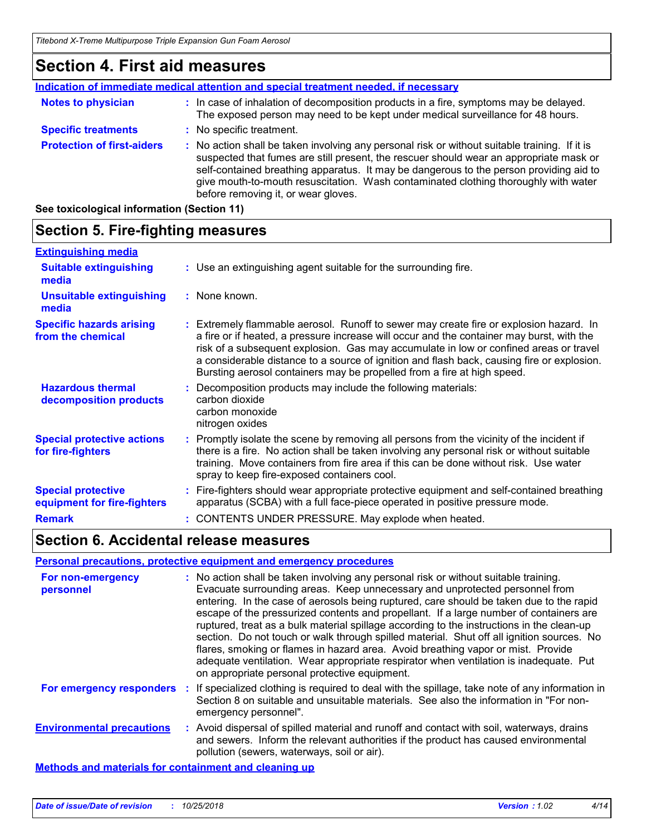## **Section 4. First aid measures**

|                                   | Indication of immediate medical attention and special treatment needed, if necessary                                                                                                                                                                                                                                                                                                                            |
|-----------------------------------|-----------------------------------------------------------------------------------------------------------------------------------------------------------------------------------------------------------------------------------------------------------------------------------------------------------------------------------------------------------------------------------------------------------------|
| <b>Notes to physician</b>         | : In case of inhalation of decomposition products in a fire, symptoms may be delayed.<br>The exposed person may need to be kept under medical surveillance for 48 hours.                                                                                                                                                                                                                                        |
| <b>Specific treatments</b>        | : No specific treatment.                                                                                                                                                                                                                                                                                                                                                                                        |
| <b>Protection of first-aiders</b> | : No action shall be taken involving any personal risk or without suitable training. If it is<br>suspected that fumes are still present, the rescuer should wear an appropriate mask or<br>self-contained breathing apparatus. It may be dangerous to the person providing aid to<br>give mouth-to-mouth resuscitation. Wash contaminated clothing thoroughly with water<br>before removing it, or wear gloves. |

**See toxicological information (Section 11)**

#### **Section 5. Fire-fighting measures Specific hazards arising from the chemical** Extremely flammable aerosol. Runoff to sewer may create fire or explosion hazard. In **:** a fire or if heated, a pressure increase will occur and the container may burst, with the risk of a subsequent explosion. Gas may accumulate in low or confined areas or travel a considerable distance to a source of ignition and flash back, causing fire or explosion. Bursting aerosol containers may be propelled from a fire at high speed. Use an extinguishing agent suitable for the surrounding fire. **: Extinguishing media :** None known. **Suitable extinguishing media Unsuitable extinguishing media**

| <b>Hazardous thermal</b><br>decomposition products       | Decomposition products may include the following materials:<br>carbon dioxide<br>carbon monoxide<br>nitrogen oxides                                                                                                                                                                                                           |
|----------------------------------------------------------|-------------------------------------------------------------------------------------------------------------------------------------------------------------------------------------------------------------------------------------------------------------------------------------------------------------------------------|
| <b>Special protective actions</b><br>for fire-fighters   | : Promptly isolate the scene by removing all persons from the vicinity of the incident if<br>there is a fire. No action shall be taken involving any personal risk or without suitable<br>training. Move containers from fire area if this can be done without risk. Use water<br>spray to keep fire-exposed containers cool. |
| <b>Special protective</b><br>equipment for fire-fighters | : Fire-fighters should wear appropriate protective equipment and self-contained breathing<br>apparatus (SCBA) with a full face-piece operated in positive pressure mode.                                                                                                                                                      |

## **Section 6. Accidental release measures**

### **Personal precautions, protective equipment and emergency procedures**

**Remark :** CONTENTS UNDER PRESSURE. May explode when heated.

| For non-emergency<br>personnel                               | : No action shall be taken involving any personal risk or without suitable training.<br>Evacuate surrounding areas. Keep unnecessary and unprotected personnel from<br>entering. In the case of aerosols being ruptured, care should be taken due to the rapid<br>escape of the pressurized contents and propellant. If a large number of containers are<br>ruptured, treat as a bulk material spillage according to the instructions in the clean-up<br>section. Do not touch or walk through spilled material. Shut off all ignition sources. No<br>flares, smoking or flames in hazard area. Avoid breathing vapor or mist. Provide<br>adequate ventilation. Wear appropriate respirator when ventilation is inadequate. Put<br>on appropriate personal protective equipment. |
|--------------------------------------------------------------|----------------------------------------------------------------------------------------------------------------------------------------------------------------------------------------------------------------------------------------------------------------------------------------------------------------------------------------------------------------------------------------------------------------------------------------------------------------------------------------------------------------------------------------------------------------------------------------------------------------------------------------------------------------------------------------------------------------------------------------------------------------------------------|
| For emergency responders                                     | : If specialized clothing is required to deal with the spillage, take note of any information in<br>Section 8 on suitable and unsuitable materials. See also the information in "For non-<br>emergency personnel".                                                                                                                                                                                                                                                                                                                                                                                                                                                                                                                                                               |
| <b>Environmental precautions</b>                             | : Avoid dispersal of spilled material and runoff and contact with soil, waterways, drains<br>and sewers. Inform the relevant authorities if the product has caused environmental<br>pollution (sewers, waterways, soil or air).                                                                                                                                                                                                                                                                                                                                                                                                                                                                                                                                                  |
| <b>Methods and materials for containment and cleaning up</b> |                                                                                                                                                                                                                                                                                                                                                                                                                                                                                                                                                                                                                                                                                                                                                                                  |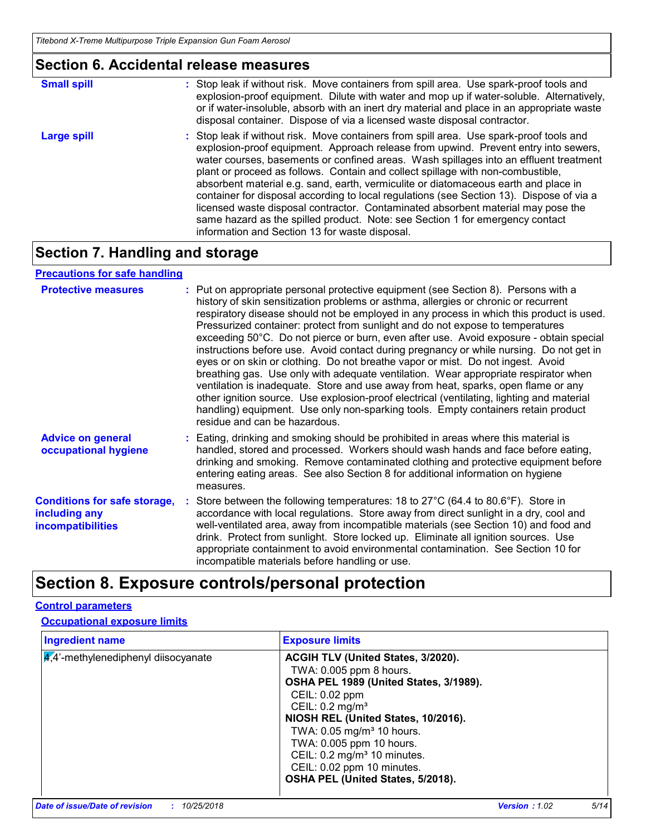| <b>Section 6. Accidental release measures</b> |                                                                                                                                                                                                                                                                                                                                                                                                                                                                                                                                                                                                                                                                                                                                                                      |  |
|-----------------------------------------------|----------------------------------------------------------------------------------------------------------------------------------------------------------------------------------------------------------------------------------------------------------------------------------------------------------------------------------------------------------------------------------------------------------------------------------------------------------------------------------------------------------------------------------------------------------------------------------------------------------------------------------------------------------------------------------------------------------------------------------------------------------------------|--|
| <b>Small spill</b>                            | : Stop leak if without risk. Move containers from spill area. Use spark-proof tools and<br>explosion-proof equipment. Dilute with water and mop up if water-soluble. Alternatively,<br>or if water-insoluble, absorb with an inert dry material and place in an appropriate waste<br>disposal container. Dispose of via a licensed waste disposal contractor.                                                                                                                                                                                                                                                                                                                                                                                                        |  |
| <b>Large spill</b>                            | : Stop leak if without risk. Move containers from spill area. Use spark-proof tools and<br>explosion-proof equipment. Approach release from upwind. Prevent entry into sewers,<br>water courses, basements or confined areas. Wash spillages into an effluent treatment<br>plant or proceed as follows. Contain and collect spillage with non-combustible,<br>absorbent material e.g. sand, earth, vermiculite or diatomaceous earth and place in<br>container for disposal according to local regulations (see Section 13). Dispose of via a<br>licensed waste disposal contractor. Contaminated absorbent material may pose the<br>same hazard as the spilled product. Note: see Section 1 for emergency contact<br>information and Section 13 for waste disposal. |  |

## **Section 7. Handling and storage**

### **Precautions for safe handling**

| <b>Protective measures</b>                                                       | : Put on appropriate personal protective equipment (see Section 8). Persons with a<br>history of skin sensitization problems or asthma, allergies or chronic or recurrent<br>respiratory disease should not be employed in any process in which this product is used.<br>Pressurized container: protect from sunlight and do not expose to temperatures<br>exceeding 50°C. Do not pierce or burn, even after use. Avoid exposure - obtain special<br>instructions before use. Avoid contact during pregnancy or while nursing. Do not get in<br>eyes or on skin or clothing. Do not breathe vapor or mist. Do not ingest. Avoid<br>breathing gas. Use only with adequate ventilation. Wear appropriate respirator when<br>ventilation is inadequate. Store and use away from heat, sparks, open flame or any<br>other ignition source. Use explosion-proof electrical (ventilating, lighting and material<br>handling) equipment. Use only non-sparking tools. Empty containers retain product<br>residue and can be hazardous. |
|----------------------------------------------------------------------------------|---------------------------------------------------------------------------------------------------------------------------------------------------------------------------------------------------------------------------------------------------------------------------------------------------------------------------------------------------------------------------------------------------------------------------------------------------------------------------------------------------------------------------------------------------------------------------------------------------------------------------------------------------------------------------------------------------------------------------------------------------------------------------------------------------------------------------------------------------------------------------------------------------------------------------------------------------------------------------------------------------------------------------------|
| <b>Advice on general</b><br>occupational hygiene                                 | : Eating, drinking and smoking should be prohibited in areas where this material is<br>handled, stored and processed. Workers should wash hands and face before eating,<br>drinking and smoking. Remove contaminated clothing and protective equipment before<br>entering eating areas. See also Section 8 for additional information on hygiene<br>measures.                                                                                                                                                                                                                                                                                                                                                                                                                                                                                                                                                                                                                                                                   |
| <b>Conditions for safe storage,</b><br>including any<br><b>incompatibilities</b> | : Store between the following temperatures: 18 to $27^{\circ}$ C (64.4 to 80.6°F). Store in<br>accordance with local regulations. Store away from direct sunlight in a dry, cool and<br>well-ventilated area, away from incompatible materials (see Section 10) and food and<br>drink. Protect from sunlight. Store locked up. Eliminate all ignition sources. Use<br>appropriate containment to avoid environmental contamination. See Section 10 for<br>incompatible materials before handling or use.                                                                                                                                                                                                                                                                                                                                                                                                                                                                                                                        |

## **Section 8. Exposure controls/personal protection**

### **Control parameters**

### **Occupational exposure limits**

| <b>Ingredient name</b>                 | <b>Exposure limits</b>                                                                                                                                                                                                                                                                                                                                                             |
|----------------------------------------|------------------------------------------------------------------------------------------------------------------------------------------------------------------------------------------------------------------------------------------------------------------------------------------------------------------------------------------------------------------------------------|
| $4.4$ '-methylenediphenyl diisocyanate | ACGIH TLV (United States, 3/2020).<br>TWA: 0.005 ppm 8 hours.<br>OSHA PEL 1989 (United States, 3/1989).<br>CEIL: 0.02 ppm<br>CEIL: 0.2 mg/m <sup>3</sup><br>NIOSH REL (United States, 10/2016).<br>TWA: 0.05 mg/m <sup>3</sup> 10 hours.<br>TWA: 0.005 ppm 10 hours.<br>CEIL: 0.2 mg/m <sup>3</sup> 10 minutes.<br>CEIL: 0.02 ppm 10 minutes.<br>OSHA PEL (United States, 5/2018). |
|                                        |                                                                                                                                                                                                                                                                                                                                                                                    |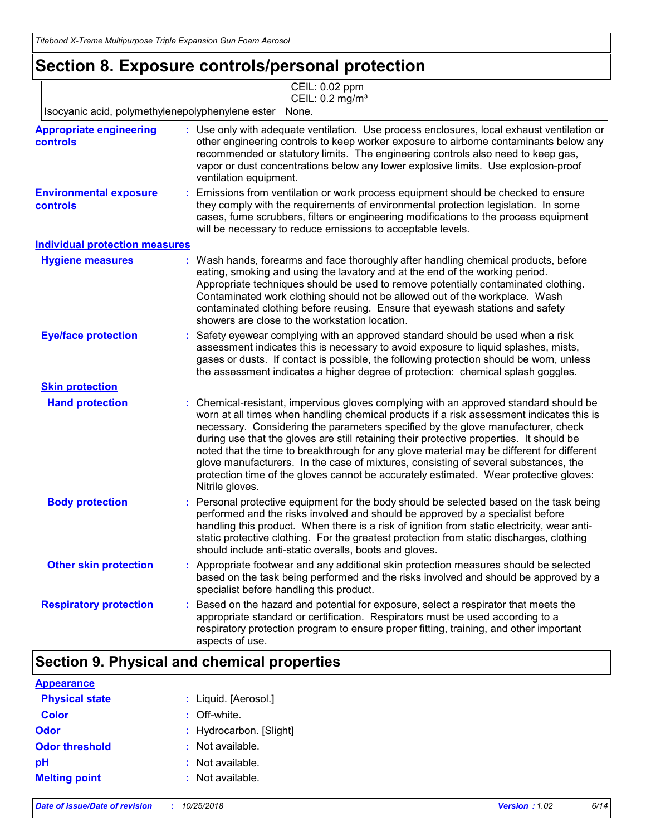## **Section 8. Exposure controls/personal protection**

|                                                   | CEIL: 0.02 ppm<br>CEIL: 0.2 mg/m <sup>3</sup>                                                                                                                                                                                                                                                                                                                                                                                                                                                                                                                                                                                                                     |
|---------------------------------------------------|-------------------------------------------------------------------------------------------------------------------------------------------------------------------------------------------------------------------------------------------------------------------------------------------------------------------------------------------------------------------------------------------------------------------------------------------------------------------------------------------------------------------------------------------------------------------------------------------------------------------------------------------------------------------|
| Isocyanic acid, polymethylenepolyphenylene ester  | None.                                                                                                                                                                                                                                                                                                                                                                                                                                                                                                                                                                                                                                                             |
| <b>Appropriate engineering</b><br><b>controls</b> | : Use only with adequate ventilation. Use process enclosures, local exhaust ventilation or<br>other engineering controls to keep worker exposure to airborne contaminants below any<br>recommended or statutory limits. The engineering controls also need to keep gas,<br>vapor or dust concentrations below any lower explosive limits. Use explosion-proof<br>ventilation equipment.                                                                                                                                                                                                                                                                           |
| <b>Environmental exposure</b><br><b>controls</b>  | Emissions from ventilation or work process equipment should be checked to ensure<br>they comply with the requirements of environmental protection legislation. In some<br>cases, fume scrubbers, filters or engineering modifications to the process equipment<br>will be necessary to reduce emissions to acceptable levels.                                                                                                                                                                                                                                                                                                                                     |
| <b>Individual protection measures</b>             |                                                                                                                                                                                                                                                                                                                                                                                                                                                                                                                                                                                                                                                                   |
| <b>Hygiene measures</b>                           | : Wash hands, forearms and face thoroughly after handling chemical products, before<br>eating, smoking and using the lavatory and at the end of the working period.<br>Appropriate techniques should be used to remove potentially contaminated clothing.<br>Contaminated work clothing should not be allowed out of the workplace. Wash<br>contaminated clothing before reusing. Ensure that eyewash stations and safety<br>showers are close to the workstation location.                                                                                                                                                                                       |
| <b>Eye/face protection</b>                        | Safety eyewear complying with an approved standard should be used when a risk<br>assessment indicates this is necessary to avoid exposure to liquid splashes, mists,<br>gases or dusts. If contact is possible, the following protection should be worn, unless<br>the assessment indicates a higher degree of protection: chemical splash goggles.                                                                                                                                                                                                                                                                                                               |
| <b>Skin protection</b>                            |                                                                                                                                                                                                                                                                                                                                                                                                                                                                                                                                                                                                                                                                   |
| <b>Hand protection</b>                            | : Chemical-resistant, impervious gloves complying with an approved standard should be<br>worn at all times when handling chemical products if a risk assessment indicates this is<br>necessary. Considering the parameters specified by the glove manufacturer, check<br>during use that the gloves are still retaining their protective properties. It should be<br>noted that the time to breakthrough for any glove material may be different for different<br>glove manufacturers. In the case of mixtures, consisting of several substances, the<br>protection time of the gloves cannot be accurately estimated. Wear protective gloves:<br>Nitrile gloves. |
| <b>Body protection</b>                            | Personal protective equipment for the body should be selected based on the task being<br>÷.<br>performed and the risks involved and should be approved by a specialist before<br>handling this product. When there is a risk of ignition from static electricity, wear anti-<br>static protective clothing. For the greatest protection from static discharges, clothing<br>should include anti-static overalls, boots and gloves.                                                                                                                                                                                                                                |
| <b>Other skin protection</b>                      | : Appropriate footwear and any additional skin protection measures should be selected<br>based on the task being performed and the risks involved and should be approved by a<br>specialist before handling this product.                                                                                                                                                                                                                                                                                                                                                                                                                                         |
| <b>Respiratory protection</b>                     | Based on the hazard and potential for exposure, select a respirator that meets the<br>appropriate standard or certification. Respirators must be used according to a<br>respiratory protection program to ensure proper fitting, training, and other important<br>aspects of use.                                                                                                                                                                                                                                                                                                                                                                                 |

### **Section 9. Physical and chemical properties**

| <b>Appearance</b>     |                         |
|-----------------------|-------------------------|
| <b>Physical state</b> | : Liquid. [Aerosol.]    |
| <b>Color</b>          | : Off-white.            |
| <b>Odor</b>           | : Hydrocarbon. [Slight] |
| <b>Odor threshold</b> | : Not available.        |
| pH                    | : Not available.        |
| <b>Melting point</b>  | : Not available.        |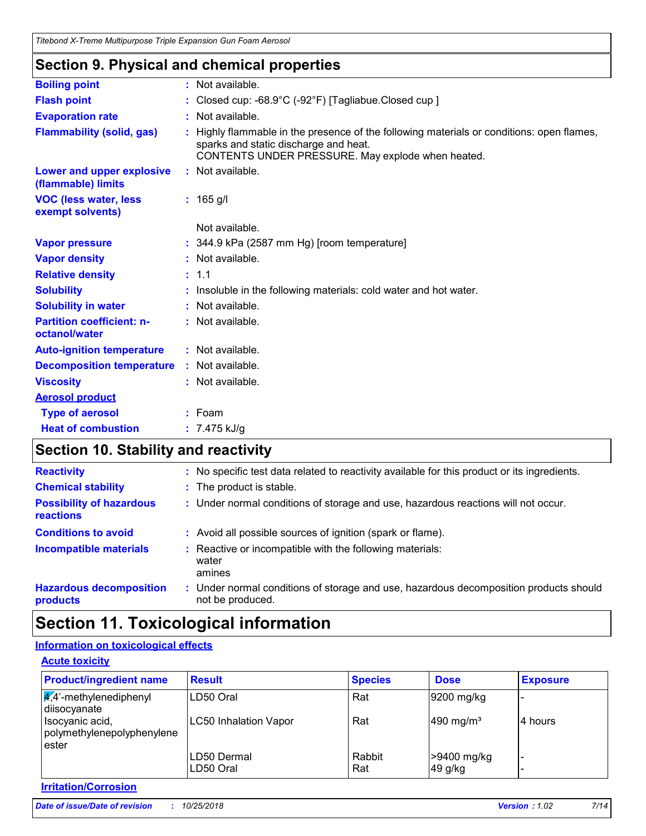### **Section 9. Physical and chemical properties**

| <b>Boiling point</b>                              | : Not available.                                                                                                                                                                      |  |  |  |
|---------------------------------------------------|---------------------------------------------------------------------------------------------------------------------------------------------------------------------------------------|--|--|--|
| <b>Flash point</b>                                | : Closed cup: $-68.9^{\circ}$ C ( $-92^{\circ}$ F) [Tagliabue.Closed cup ]                                                                                                            |  |  |  |
| <b>Evaporation rate</b>                           | : Not available.                                                                                                                                                                      |  |  |  |
| <b>Flammability (solid, gas)</b>                  | Highly flammable in the presence of the following materials or conditions: open flames,<br>sparks and static discharge and heat.<br>CONTENTS UNDER PRESSURE. May explode when heated. |  |  |  |
| Lower and upper explosive<br>(flammable) limits   | : Not available.                                                                                                                                                                      |  |  |  |
| <b>VOC (less water, less)</b><br>exempt solvents) | $: 165$ g/l                                                                                                                                                                           |  |  |  |
|                                                   | Not available.                                                                                                                                                                        |  |  |  |
| <b>Vapor pressure</b>                             | $: 344.9$ kPa (2587 mm Hg) [room temperature]                                                                                                                                         |  |  |  |
| <b>Vapor density</b>                              | : Not available.                                                                                                                                                                      |  |  |  |
| <b>Relative density</b>                           | : 1.1                                                                                                                                                                                 |  |  |  |
| <b>Solubility</b>                                 | Insoluble in the following materials: cold water and hot water.                                                                                                                       |  |  |  |
| <b>Solubility in water</b>                        | : Not available.                                                                                                                                                                      |  |  |  |
| <b>Partition coefficient: n-</b><br>octanol/water | : Not available.                                                                                                                                                                      |  |  |  |
| <b>Auto-ignition temperature</b>                  | : Not available.                                                                                                                                                                      |  |  |  |
| <b>Decomposition temperature</b>                  | : Not available.                                                                                                                                                                      |  |  |  |
| <b>Viscosity</b>                                  | : Not available.                                                                                                                                                                      |  |  |  |
| <b>Aerosol product</b>                            |                                                                                                                                                                                       |  |  |  |
| <b>Type of aerosol</b>                            | $:$ Foam                                                                                                                                                                              |  |  |  |
| <b>Heat of combustion</b>                         | : $7.475$ kJ/g                                                                                                                                                                        |  |  |  |
|                                                   |                                                                                                                                                                                       |  |  |  |

### **Section 10. Stability and reactivity**

| <b>Reactivity</b>                                   | : No specific test data related to reactivity available for this product or its ingredients.              |
|-----------------------------------------------------|-----------------------------------------------------------------------------------------------------------|
| <b>Chemical stability</b>                           | : The product is stable.                                                                                  |
| <b>Possibility of hazardous</b><br><b>reactions</b> | : Under normal conditions of storage and use, hazardous reactions will not occur.                         |
| <b>Conditions to avoid</b>                          | : Avoid all possible sources of ignition (spark or flame).                                                |
| <b>Incompatible materials</b>                       | : Reactive or incompatible with the following materials:<br>water<br>amines                               |
| <b>Hazardous decomposition</b><br>products          | : Under normal conditions of storage and use, hazardous decomposition products should<br>not be produced. |

## **Section 11. Toxicological information**

### **Information on toxicological effects**

| <b>Product/ingredient name</b>                         | <b>Result</b>                | <b>Species</b> | <b>Dose</b>           | <b>Exposure</b> |
|--------------------------------------------------------|------------------------------|----------------|-----------------------|-----------------|
| $\frac{1}{4}$ ,4'-methylenediphenyl<br>diisocyanate    | LD50 Oral                    | Rat            | 9200 mg/kg            |                 |
| Isocyanic acid,<br>polymethylenepolyphenylene<br>ester | <b>LC50 Inhalation Vapor</b> | Rat            | 490 mg/m <sup>3</sup> | 4 hours         |
|                                                        | LD50 Dermal                  | Rabbit         | >9400 mg/kg           |                 |
|                                                        | LD50 Oral                    | Rat            | 49 g/kg               |                 |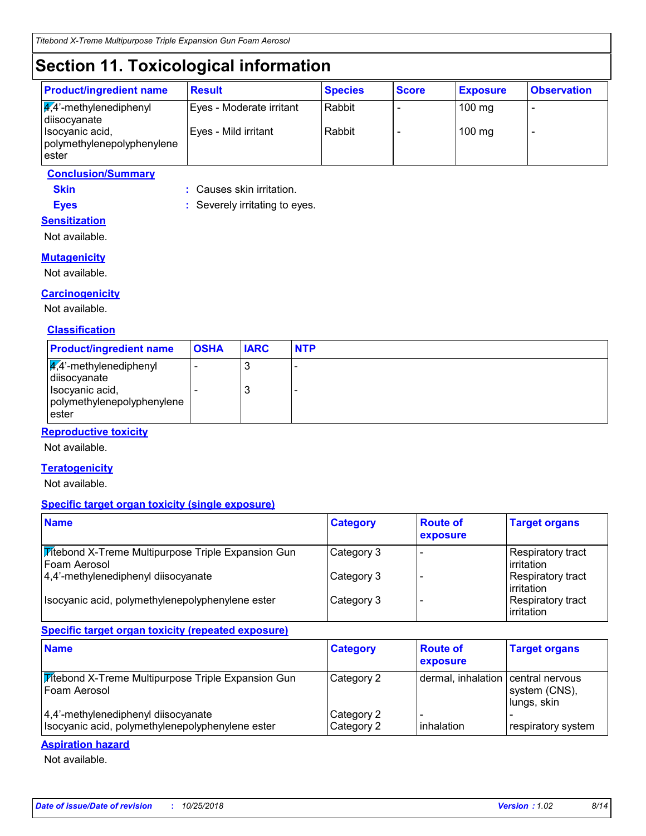## **Section 11. Toxicological information**

| <b>Product/ingredient name</b>                             | <b>Result</b>            | <b>Species</b> | <b>Score</b> | <b>Exposure</b> | <b>Observation</b> |
|------------------------------------------------------------|--------------------------|----------------|--------------|-----------------|--------------------|
| $\sqrt{4}$ <sup>2</sup> -methylenediphenyl<br>diisocyanate | Eyes - Moderate irritant | Rabbit         |              | $100$ mg        | -                  |
| Isocyanic acid,<br>polymethylenepolyphenylene<br>lester    | Eyes - Mild irritant     | Rabbit         |              | $100$ mg        |                    |

### **Conclusion/Summary**

**Skin :** Causes skin irritation.

**Eyes :** Severely irritating to eyes. **Sensitization**

Not available.

### **Mutagenicity**

Not available.

### **Carcinogenicity**

Not available.

### **Classification**

| <b>Product/ingredient name</b>                                                                                | <b>OSHA</b> | <b>IARC</b> | <b>NTP</b> |
|---------------------------------------------------------------------------------------------------------------|-------------|-------------|------------|
| $\frac{1}{4}$ ,4'-methylenediphenyl<br>diisocyanate<br>Isocyanic acid,<br>polymethylenepolyphenylene<br>ester |             | J<br>J      | -          |

### **Reproductive toxicity**

Not available.

### **Teratogenicity**

Not available.

### **Specific target organ toxicity (single exposure)**

| <b>Name</b>                                                                 | <b>Category</b> | <b>Route of</b><br>exposure | <b>Target organs</b>                    |
|-----------------------------------------------------------------------------|-----------------|-----------------------------|-----------------------------------------|
| <b>Titebond X-Treme Multipurpose Triple Expansion Gun</b><br>l Foam Aerosol | Category 3      |                             | Respiratory tract<br>l irritation       |
| 4,4'-methylenediphenyl diisocyanate                                         | Category 3      |                             | Respiratory tract<br>l irritation       |
| Isocyanic acid, polymethylenepolyphenylene ester                            | Category 3      |                             | Respiratory tract<br><b>lirritation</b> |

### **Specific target organ toxicity (repeated exposure)**

| <b>Name</b>                                                                             | <b>Category</b>          | <b>Route of</b><br>exposure        | <b>Target organs</b>         |
|-----------------------------------------------------------------------------------------|--------------------------|------------------------------------|------------------------------|
| <b>Mitebond X-Treme Multipurpose Triple Expansion Gun</b><br>Foam Aerosol               | Category 2               | dermal, inhalation central nervous | system (CNS),<br>lungs, skin |
| 4,4'-methylenediphenyl diisocyanate<br>Isocyanic acid, polymethylenepolyphenylene ester | Category 2<br>Category 2 | inhalation                         | respiratory system           |

#### **Aspiration hazard**

Not available.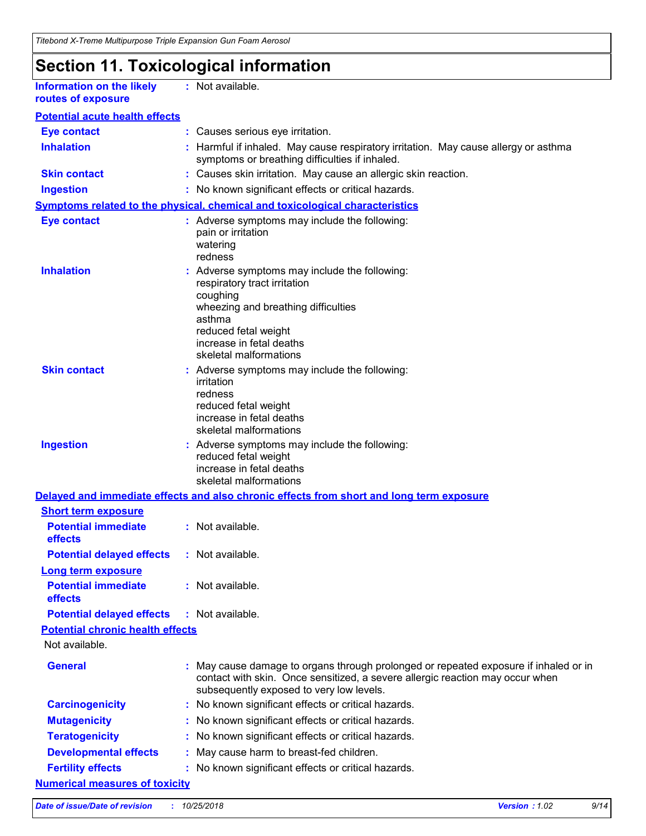## **Section 11. Toxicological information**

**Information on the likely routes of exposure**

**:** Not available.

| <b>Eye contact</b>                                                  |    | : Causes serious eye irritation.                                                                                                                                                                                         |
|---------------------------------------------------------------------|----|--------------------------------------------------------------------------------------------------------------------------------------------------------------------------------------------------------------------------|
| <b>Inhalation</b>                                                   |    | Harmful if inhaled. May cause respiratory irritation. May cause allergy or asthma<br>symptoms or breathing difficulties if inhaled.                                                                                      |
| <b>Skin contact</b>                                                 |    | : Causes skin irritation. May cause an allergic skin reaction.                                                                                                                                                           |
| <b>Ingestion</b>                                                    |    | : No known significant effects or critical hazards.                                                                                                                                                                      |
|                                                                     |    | Symptoms related to the physical, chemical and toxicological characteristics                                                                                                                                             |
| <b>Eye contact</b>                                                  |    | : Adverse symptoms may include the following:<br>pain or irritation<br>watering<br>redness                                                                                                                               |
| <b>Inhalation</b>                                                   |    | : Adverse symptoms may include the following:<br>respiratory tract irritation<br>coughing<br>wheezing and breathing difficulties<br>asthma<br>reduced fetal weight<br>increase in fetal deaths<br>skeletal malformations |
| <b>Skin contact</b>                                                 |    | : Adverse symptoms may include the following:<br>irritation<br>redness<br>reduced fetal weight<br>increase in fetal deaths<br>skeletal malformations                                                                     |
| <b>Ingestion</b>                                                    |    | : Adverse symptoms may include the following:<br>reduced fetal weight<br>increase in fetal deaths<br>skeletal malformations                                                                                              |
|                                                                     |    | Delayed and immediate effects and also chronic effects from short and long term exposure                                                                                                                                 |
| <b>Short term exposure</b><br><b>Potential immediate</b><br>effects |    | : Not available.                                                                                                                                                                                                         |
| <b>Potential delayed effects</b>                                    |    | : Not available.                                                                                                                                                                                                         |
| <b>Long term exposure</b>                                           |    |                                                                                                                                                                                                                          |
| <b>Potential immediate</b><br><b>effects</b>                        |    | : Not available.                                                                                                                                                                                                         |
| <b>Potential delayed effects</b>                                    |    | : Not available.                                                                                                                                                                                                         |
| <b>Potential chronic health effects</b>                             |    |                                                                                                                                                                                                                          |
| Not available.                                                      |    |                                                                                                                                                                                                                          |
| <b>General</b>                                                      |    | : May cause damage to organs through prolonged or repeated exposure if inhaled or in<br>contact with skin. Once sensitized, a severe allergic reaction may occur when<br>subsequently exposed to very low levels.        |
| <b>Carcinogenicity</b>                                              | ÷. | No known significant effects or critical hazards.                                                                                                                                                                        |
| <b>Mutagenicity</b>                                                 |    | No known significant effects or critical hazards.                                                                                                                                                                        |
| <b>Teratogenicity</b>                                               |    | No known significant effects or critical hazards.                                                                                                                                                                        |
| <b>Developmental effects</b>                                        |    | May cause harm to breast-fed children.                                                                                                                                                                                   |
| <b>Fertility effects</b>                                            |    | No known significant effects or critical hazards.                                                                                                                                                                        |
| <b>Numerical measures of toxicity</b>                               |    |                                                                                                                                                                                                                          |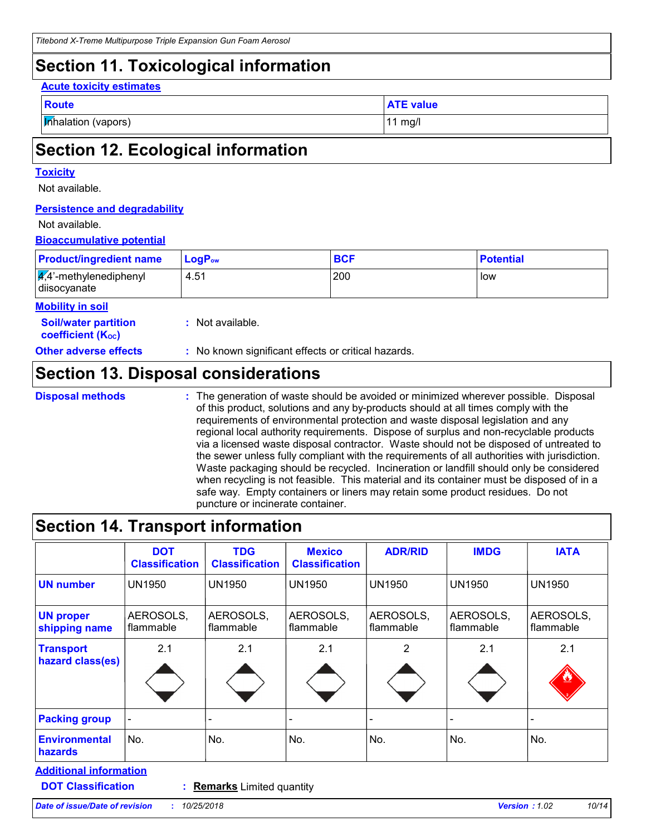### **Section 11. Toxicological information**

#### **Acute toxicity estimates**

| $\sim$ | - - - |  |
|--------|-------|--|
|        |       |  |

**Inhalation (vapors)** 11 mg/l

**ATE value** 

## **Section 12. Ecological information**

#### **Toxicity**

Not available.

### **Persistence and degradability**

#### Not available.

### **Bioaccumulative potential**

| <b>Product/ingredient name</b>                             | $LogP_{ow}$      | <b>BCF</b> | <b>Potential</b> |
|------------------------------------------------------------|------------------|------------|------------------|
| $\sqrt{4}$ <sup>2</sup> -methylenediphenyl<br>diisocyanate | 4.51             | 200        | low              |
| <b>Mobility in soil</b>                                    |                  |            |                  |
| <b>Soil/water partition</b><br><b>coefficient (Koc)</b>    | : Not available. |            |                  |

**Other adverse effects** : No known significant effects or critical hazards.

### **Section 13. Disposal considerations**

**Disposal methods :**

The generation of waste should be avoided or minimized wherever possible. Disposal of this product, solutions and any by-products should at all times comply with the requirements of environmental protection and waste disposal legislation and any regional local authority requirements. Dispose of surplus and non-recyclable products via a licensed waste disposal contractor. Waste should not be disposed of untreated to the sewer unless fully compliant with the requirements of all authorities with jurisdiction. Waste packaging should be recycled. Incineration or landfill should only be considered when recycling is not feasible. This material and its container must be disposed of in a safe way. Empty containers or liners may retain some product residues. Do not puncture or incinerate container.

### **Section 14. Transport information**

| <b>Classification</b>  | <b>Classification</b>  | <b>Mexico</b><br><b>Classification</b> | <b>ADR/RID</b>         | <b>IMDG</b>            | <b>IATA</b>            |
|------------------------|------------------------|----------------------------------------|------------------------|------------------------|------------------------|
| <b>UN1950</b>          | <b>UN1950</b>          | <b>UN1950</b>                          | <b>UN1950</b>          | <b>UN1950</b>          | <b>UN1950</b>          |
| AEROSOLS,<br>flammable | AEROSOLS,<br>flammable | AEROSOLS,<br>flammable                 | AEROSOLS,<br>flammable | AEROSOLS,<br>flammable | AEROSOLS,<br>flammable |
| 2.1                    | 2.1                    | 2.1                                    | 2                      | 2.1                    | 2.1                    |
|                        |                        |                                        |                        |                        |                        |
| No.                    | No.                    | No.                                    | No.                    | No.                    | No.                    |
|                        |                        |                                        |                        |                        |                        |

**DOT Classification :**

**Remarks** Limited quantity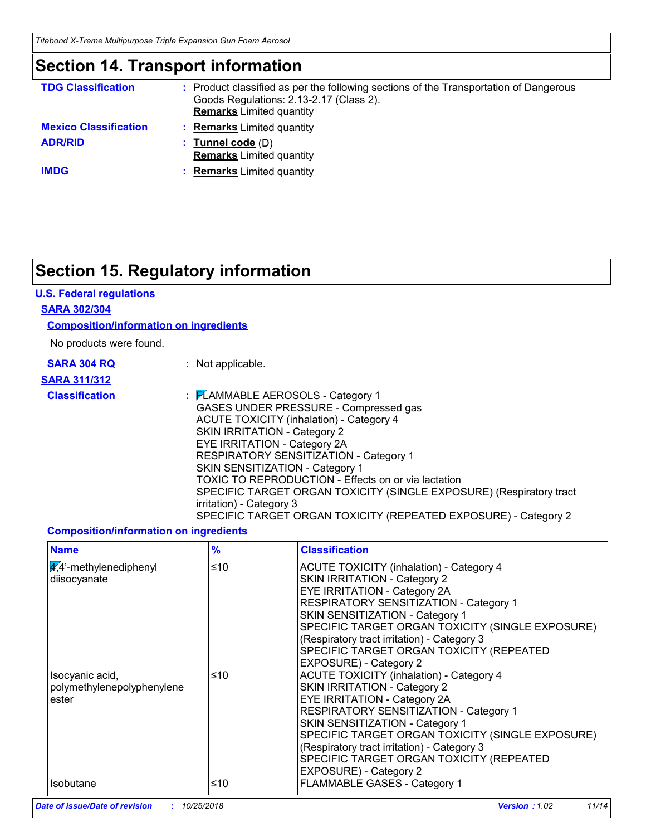*Titebond X-Treme Multipurpose Triple Expansion Gun Foam Aerosol*

### **Section 14. Transport information**

| <b>TDG Classification</b>    | : Product classified as per the following sections of the Transportation of Dangerous<br>Goods Regulations: 2.13-2.17 (Class 2).<br><b>Remarks</b> Limited quantity |
|------------------------------|---------------------------------------------------------------------------------------------------------------------------------------------------------------------|
| <b>Mexico Classification</b> | <b>Remarks</b> Limited quantity                                                                                                                                     |
| <b>ADR/RID</b>               | : Tunnel code $(D)$<br><b>Remarks</b> Limited quantity                                                                                                              |
| <b>IMDG</b>                  | <b>Remarks</b> Limited quantity                                                                                                                                     |

## **Section 15. Regulatory information**

### **U.S. Federal regulations**

### **SARA 302/304**

### **Composition/information on ingredients**

No products were found.

| <b>SARA 304 RQ</b> |  |  |
|--------------------|--|--|
| ---- <i>----</i>   |  |  |

**:** Not applicable.

### **SARA 311/312**

**Classification :** FLAMMABLE AEROSOLS - Category 1 GASES UNDER PRESSURE - Compressed gas ACUTE TOXICITY (inhalation) - Category 4 SKIN IRRITATION - Category 2 EYE IRRITATION - Category 2A RESPIRATORY SENSITIZATION - Category 1 SKIN SENSITIZATION - Category 1 TOXIC TO REPRODUCTION - Effects on or via lactation SPECIFIC TARGET ORGAN TOXICITY (SINGLE EXPOSURE) (Respiratory tract irritation) - Category 3 SPECIFIC TARGET ORGAN TOXICITY (REPEATED EXPOSURE) - Category 2

### **Composition/information on ingredients**

| <b>Name</b>                                            | %   | <b>Classification</b>                                                                                                                                                                                                                                                                                                                                                        |
|--------------------------------------------------------|-----|------------------------------------------------------------------------------------------------------------------------------------------------------------------------------------------------------------------------------------------------------------------------------------------------------------------------------------------------------------------------------|
| $4.4$ '-methylenediphenyl<br>diisocyanate              | ≤10 | <b>ACUTE TOXICITY (inhalation) - Category 4</b><br>SKIN IRRITATION - Category 2<br><b>EYE IRRITATION - Category 2A</b><br>RESPIRATORY SENSITIZATION - Category 1<br>SKIN SENSITIZATION - Category 1<br>SPECIFIC TARGET ORGAN TOXICITY (SINGLE EXPOSURE)<br>(Respiratory tract irritation) - Category 3<br>SPECIFIC TARGET ORGAN TOXICITY (REPEATED<br>EXPOSURE) - Category 2 |
| Isocyanic acid,<br>polymethylenepolyphenylene<br>ester | ≤10 | <b>ACUTE TOXICITY (inhalation) - Category 4</b><br>SKIN IRRITATION - Category 2<br><b>EYE IRRITATION - Category 2A</b><br>RESPIRATORY SENSITIZATION - Category 1<br>SKIN SENSITIZATION - Category 1<br>SPECIFIC TARGET ORGAN TOXICITY (SINGLE EXPOSURE)<br>(Respiratory tract irritation) - Category 3<br>SPECIFIC TARGET ORGAN TOXICITY (REPEATED<br>EXPOSURE) - Category 2 |
| <b>Isobutane</b>                                       | ≤10 | FLAMMABLE GASES - Category 1                                                                                                                                                                                                                                                                                                                                                 |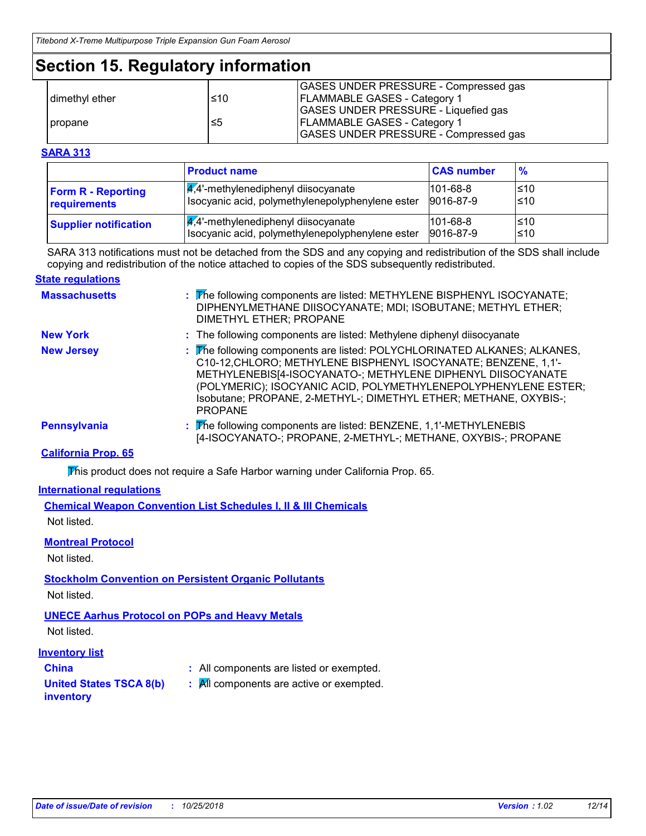### **Section 15. Regulatory information**

|                |     | GASES UNDER PRESSURE - Compressed gas       |
|----------------|-----|---------------------------------------------|
| dimethyl ether | ≤10 | <b>FLAMMABLE GASES - Category 1</b>         |
|                |     | <b>GASES UNDER PRESSURE - Liquefied gas</b> |
| propane        | ≤5  | <b>FLAMMABLE GASES - Category 1</b>         |
|                |     | GASES UNDER PRESSURE - Compressed gas       |

### **SARA 313**

|                              | <b>Product name</b>                              | <b>CAS number</b> | $\frac{9}{6}$ |
|------------------------------|--------------------------------------------------|-------------------|---------------|
| <b>Form R - Reporting</b>    | $\frac{1}{4}$ ,4'-methylenediphenyl diisocyanate | $101 - 68 - 8$    | l≤10          |
| requirements                 | Isocyanic acid, polymethylenepolyphenylene ester | 9016-87-9         | ≤10           |
| <b>Supplier notification</b> | $\sqrt{4}$ ,4'-methylenediphenyl diisocyanate    | $101 - 68 - 8$    | l≤10          |
|                              | Isocyanic acid, polymethylenepolyphenylene ester | 9016-87-9         | l≤10          |

SARA 313 notifications must not be detached from the SDS and any copying and redistribution of the SDS shall include copying and redistribution of the notice attached to copies of the SDS subsequently redistributed.

#### **State regulations**

| <b>Massachusetts</b> | : The following components are listed: METHYLENE BISPHENYL ISOCYANATE;<br>DIPHENYLMETHANE DIISOCYANATE; MDI; ISOBUTANE; METHYL ETHER;<br>DIMETHYL ETHER; PROPANE                                                                                                                                                                                                  |
|----------------------|-------------------------------------------------------------------------------------------------------------------------------------------------------------------------------------------------------------------------------------------------------------------------------------------------------------------------------------------------------------------|
| <b>New York</b>      | : The following components are listed: Methylene diphenyl diisocyanate                                                                                                                                                                                                                                                                                            |
| <b>New Jersey</b>    | : The following components are listed: POLYCHLORINATED ALKANES; ALKANES,<br>C10-12, CHLORO; METHYLENE BISPHENYL ISOCYANATE; BENZENE, 1,1'-<br>METHYLENEBIS[4-ISOCYANATO-; METHYLENE DIPHENYL DIISOCYANATE<br>(POLYMERIC); ISOCYANIC ACID, POLYMETHYLENEPOLYPHENYLENE ESTER;<br>Isobutane; PROPANE, 2-METHYL-; DIMETHYL ETHER; METHANE, OXYBIS-;<br><b>PROPANE</b> |
| Pennsylvania         | : The following components are listed: BENZENE, 1,1'-METHYLENEBIS<br>[4-ISOCYANATO-; PROPANE, 2-METHYL-; METHANE, OXYBIS-; PROPANE                                                                                                                                                                                                                                |

### **California Prop. 65**

This product does not require a Safe Harbor warning under California Prop. 65.

#### **International regulations**

**Chemical Weapon Convention List Schedules I, II & III Chemicals** Not listed.

### **Montreal Protocol**

Not listed.

### **Stockholm Convention on Persistent Organic Pollutants**

Not listed.

### **UNECE Aarhus Protocol on POPs and Heavy Metals**

Not listed.

### **Inventory list**

- 
- **China :** All components are listed or exempted.
- **United States TSCA 8(b)**
- **:** All components are active or exempted.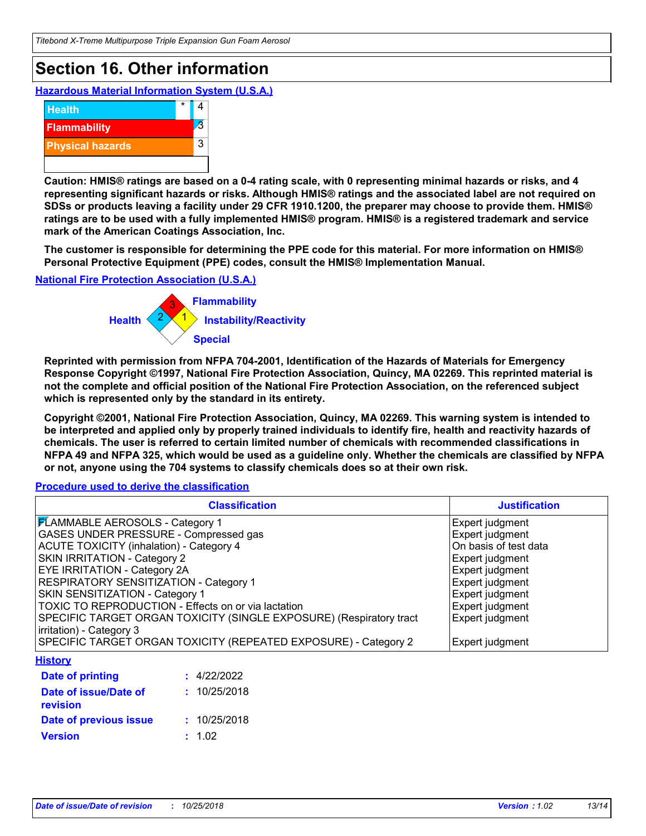## **Section 16. Other information**

**Hazardous Material Information System (U.S.A.)**



**Caution: HMIS® ratings are based on a 0-4 rating scale, with 0 representing minimal hazards or risks, and 4 representing significant hazards or risks. Although HMIS® ratings and the associated label are not required on SDSs or products leaving a facility under 29 CFR 1910.1200, the preparer may choose to provide them. HMIS® ratings are to be used with a fully implemented HMIS® program. HMIS® is a registered trademark and service mark of the American Coatings Association, Inc.**

**The customer is responsible for determining the PPE code for this material. For more information on HMIS® Personal Protective Equipment (PPE) codes, consult the HMIS® Implementation Manual.**

**National Fire Protection Association (U.S.A.)**



**Reprinted with permission from NFPA 704-2001, Identification of the Hazards of Materials for Emergency Response Copyright ©1997, National Fire Protection Association, Quincy, MA 02269. This reprinted material is not the complete and official position of the National Fire Protection Association, on the referenced subject which is represented only by the standard in its entirety.**

**Copyright ©2001, National Fire Protection Association, Quincy, MA 02269. This warning system is intended to be interpreted and applied only by properly trained individuals to identify fire, health and reactivity hazards of chemicals. The user is referred to certain limited number of chemicals with recommended classifications in NFPA 49 and NFPA 325, which would be used as a guideline only. Whether the chemicals are classified by NFPA or not, anyone using the 704 systems to classify chemicals does so at their own risk.**

**Procedure used to derive the classification**

| <b>Classification</b>                                               | <b>Justification</b>  |
|---------------------------------------------------------------------|-----------------------|
| <b>FLAMMABLE AEROSOLS - Category 1</b>                              | Expert judgment       |
| GASES UNDER PRESSURE - Compressed gas                               | Expert judgment       |
| <b>ACUTE TOXICITY (inhalation) - Category 4</b>                     | On basis of test data |
| SKIN IRRITATION - Category 2                                        | Expert judgment       |
| EYE IRRITATION - Category 2A                                        | Expert judgment       |
| RESPIRATORY SENSITIZATION - Category 1                              | Expert judgment       |
| SKIN SENSITIZATION - Category 1                                     | Expert judgment       |
| TOXIC TO REPRODUCTION - Effects on or via lactation                 | Expert judgment       |
| SPECIFIC TARGET ORGAN TOXICITY (SINGLE EXPOSURE) (Respiratory tract | Expert judgment       |
| irritation) - Category 3                                            |                       |
| SPECIFIC TARGET ORGAN TOXICITY (REPEATED EXPOSURE) - Category 2     | Expert judgment       |
| <b>History</b>                                                      |                       |
| : 4/22/2022<br>Date of printing                                     |                       |
| Date of issue/Date of<br>: 10/25/2018<br>revision                   |                       |